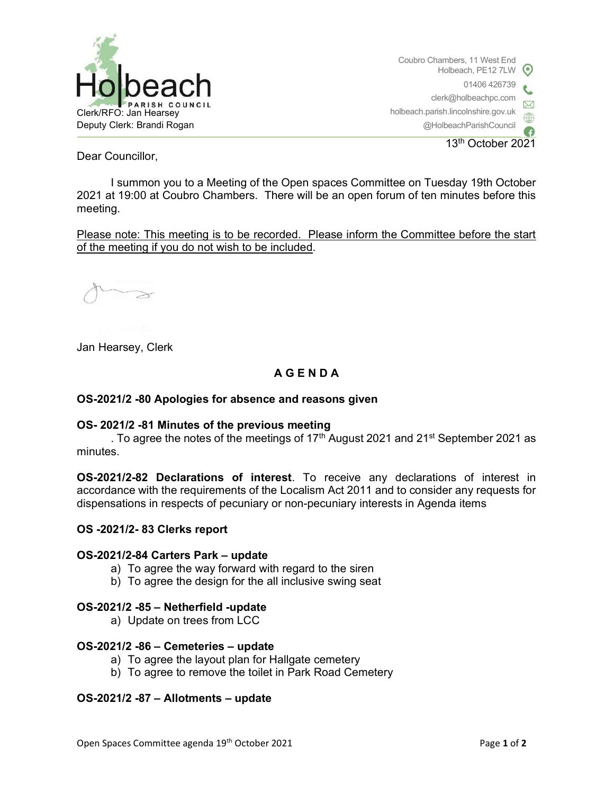

Coubro Chambers, 11 West End Holbeach, PE12 7LW 01406 426739 clerk@holbeachpc.com holbeach.parish.lincolnshire.gov.uk @HolbeachParishCouncil

13th October 2021

Dear Councillor,

I summon you to a Meeting of the Open spaces Committee on Tuesday 19th October 2021 at 19:00 at Coubro Chambers. There will be an open forum of ten minutes before this meeting.

Please note: This meeting is to be recorded. Please inform the Committee before the start of the meeting if you do not wish to be included.

Jan Hearsey, Clerk

# A G E N D A

## OS-2021/2 -80 Apologies for absence and reasons given

#### OS- 2021/2 -81 Minutes of the previous meeting

. To agree the notes of the meetings of 17<sup>th</sup> August 2021 and 21<sup>st</sup> September 2021 as minutes.

OS-2021/2-82 Declarations of interest. To receive any declarations of interest in accordance with the requirements of the Localism Act 2011 and to consider any requests for dispensations in respects of pecuniary or non-pecuniary interests in Agenda items

#### OS -2021/2- 83 Clerks report

#### OS-2021/2-84 Carters Park – update

- a) To agree the way forward with regard to the siren
- b) To agree the design for the all inclusive swing seat

#### OS-2021/2 -85 – Netherfield -update

a) Update on trees from LCC

#### OS-2021/2 -86 – Cemeteries – update

- a) To agree the layout plan for Hallgate cemetery
- b) To agree to remove the toilet in Park Road Cemetery

## OS-2021/2 -87 – Allotments – update